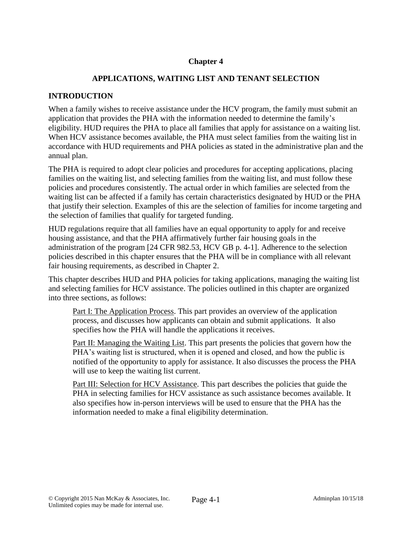# **Chapter 4**

## **APPLICATIONS, WAITING LIST AND TENANT SELECTION**

### **INTRODUCTION**

When a family wishes to receive assistance under the HCV program, the family must submit an application that provides the PHA with the information needed to determine the family's eligibility. HUD requires the PHA to place all families that apply for assistance on a waiting list. When HCV assistance becomes available, the PHA must select families from the waiting list in accordance with HUD requirements and PHA policies as stated in the administrative plan and the annual plan.

The PHA is required to adopt clear policies and procedures for accepting applications, placing families on the waiting list, and selecting families from the waiting list, and must follow these policies and procedures consistently. The actual order in which families are selected from the waiting list can be affected if a family has certain characteristics designated by HUD or the PHA that justify their selection. Examples of this are the selection of families for income targeting and the selection of families that qualify for targeted funding.

HUD regulations require that all families have an equal opportunity to apply for and receive housing assistance, and that the PHA affirmatively further fair housing goals in the administration of the program [24 CFR 982.53, HCV GB p. 4-1]. Adherence to the selection policies described in this chapter ensures that the PHA will be in compliance with all relevant fair housing requirements, as described in Chapter 2.

This chapter describes HUD and PHA policies for taking applications, managing the waiting list and selecting families for HCV assistance. The policies outlined in this chapter are organized into three sections, as follows:

Part I: The Application Process. This part provides an overview of the application process, and discusses how applicants can obtain and submit applications. It also specifies how the PHA will handle the applications it receives.

Part II: Managing the Waiting List. This part presents the policies that govern how the PHA's waiting list is structured, when it is opened and closed, and how the public is notified of the opportunity to apply for assistance. It also discusses the process the PHA will use to keep the waiting list current.

Part III: Selection for HCV Assistance. This part describes the policies that guide the PHA in selecting families for HCV assistance as such assistance becomes available. It also specifies how in-person interviews will be used to ensure that the PHA has the information needed to make a final eligibility determination.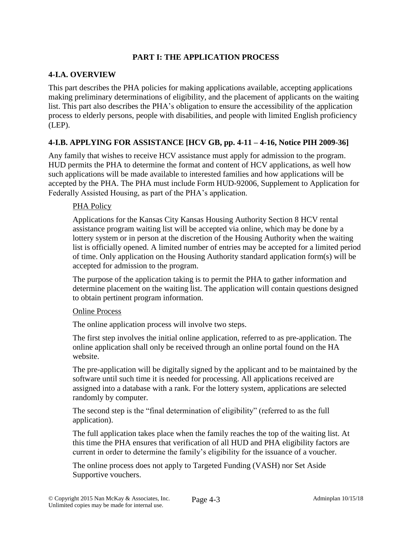# **PART I: THE APPLICATION PROCESS**

### **4-I.A. OVERVIEW**

This part describes the PHA policies for making applications available, accepting applications making preliminary determinations of eligibility, and the placement of applicants on the waiting list. This part also describes the PHA's obligation to ensure the accessibility of the application process to elderly persons, people with disabilities, and people with limited English proficiency (LEP).

## **4-I.B. APPLYING FOR ASSISTANCE [HCV GB, pp. 4-11 – 4-16, Notice PIH 2009-36]**

Any family that wishes to receive HCV assistance must apply for admission to the program. HUD permits the PHA to determine the format and content of HCV applications, as well how such applications will be made available to interested families and how applications will be accepted by the PHA. The PHA must include Form HUD-92006, Supplement to Application for Federally Assisted Housing, as part of the PHA's application.

### PHA Policy

Applications for the Kansas City Kansas Housing Authority Section 8 HCV rental assistance program waiting list will be accepted via online, which may be done by a lottery system or in person at the discretion of the Housing Authority when the waiting list is officially opened. A limited number of entries may be accepted for a limited period of time. Only application on the Housing Authority standard application form(s) will be accepted for admission to the program.

The purpose of the application taking is to permit the PHA to gather information and determine placement on the waiting list. The application will contain questions designed to obtain pertinent program information.

#### Online Process

The online application process will involve two steps.

The first step involves the initial online application, referred to as pre-application. The online application shall only be received through an online portal found on the HA website.

The pre-application will be digitally signed by the applicant and to be maintained by the software until such time it is needed for processing. All applications received are assigned into a database with a rank. For the lottery system, applications are selected randomly by computer.

The second step is the "final determination of eligibility" (referred to as the full application).

The full application takes place when the family reaches the top of the waiting list. At this time the PHA ensures that verification of all HUD and PHA eligibility factors are current in order to determine the family's eligibility for the issuance of a voucher.

The online process does not apply to Targeted Funding (VASH) nor Set Aside Supportive vouchers.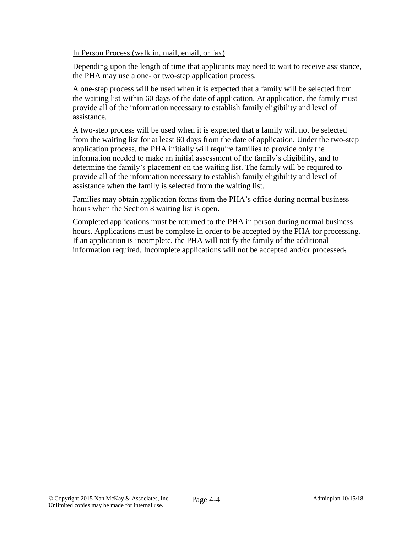In Person Process (walk in, mail, email, or fax)

Depending upon the length of time that applicants may need to wait to receive assistance, the PHA may use a one- or two-step application process.

A one-step process will be used when it is expected that a family will be selected from the waiting list within 60 days of the date of application. At application, the family must provide all of the information necessary to establish family eligibility and level of assistance.

A two-step process will be used when it is expected that a family will not be selected from the waiting list for at least 60 days from the date of application. Under the two-step application process, the PHA initially will require families to provide only the information needed to make an initial assessment of the family's eligibility, and to determine the family's placement on the waiting list. The family will be required to provide all of the information necessary to establish family eligibility and level of assistance when the family is selected from the waiting list.

Families may obtain application forms from the PHA's office during normal business hours when the Section 8 waiting list is open.

Completed applications must be returned to the PHA in person during normal business hours. Applications must be complete in order to be accepted by the PHA for processing. If an application is incomplete, the PHA will notify the family of the additional information required. Incomplete applications will not be accepted and/or processed.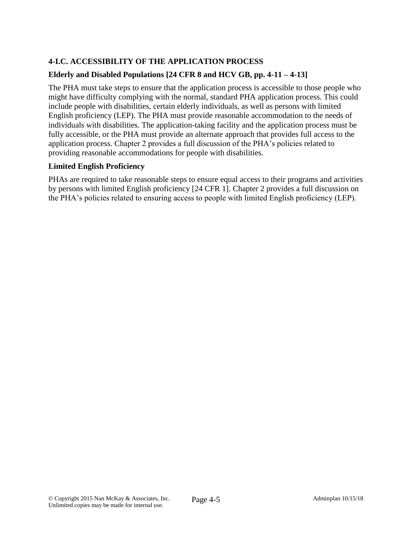# **4-I.C. ACCESSIBILITY OF THE APPLICATION PROCESS**

# **Elderly and Disabled Populations [24 CFR 8 and HCV GB, pp. 4-11 – 4-13]**

The PHA must take steps to ensure that the application process is accessible to those people who might have difficulty complying with the normal, standard PHA application process. This could include people with disabilities, certain elderly individuals, as well as persons with limited English proficiency (LEP). The PHA must provide reasonable accommodation to the needs of individuals with disabilities. The application-taking facility and the application process must be fully accessible, or the PHA must provide an alternate approach that provides full access to the application process. Chapter 2 provides a full discussion of the PHA's policies related to providing reasonable accommodations for people with disabilities.

# **Limited English Proficiency**

PHAs are required to take reasonable steps to ensure equal access to their programs and activities by persons with limited English proficiency [24 CFR 1]. Chapter 2 provides a full discussion on the PHA's policies related to ensuring access to people with limited English proficiency (LEP).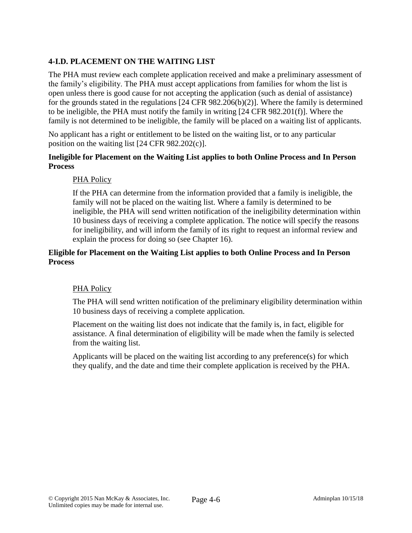# **4-I.D. PLACEMENT ON THE WAITING LIST**

The PHA must review each complete application received and make a preliminary assessment of the family's eligibility. The PHA must accept applications from families for whom the list is open unless there is good cause for not accepting the application (such as denial of assistance) for the grounds stated in the regulations [24 CFR 982.206(b)(2)]. Where the family is determined to be ineligible, the PHA must notify the family in writing [24 CFR 982.201(f)]. Where the family is not determined to be ineligible, the family will be placed on a waiting list of applicants.

No applicant has a right or entitlement to be listed on the waiting list, or to any particular position on the waiting list [24 CFR 982.202(c)].

## **Ineligible for Placement on the Waiting List applies to both Online Process and In Person Process**

## PHA Policy

If the PHA can determine from the information provided that a family is ineligible, the family will not be placed on the waiting list. Where a family is determined to be ineligible, the PHA will send written notification of the ineligibility determination within 10 business days of receiving a complete application. The notice will specify the reasons for ineligibility, and will inform the family of its right to request an informal review and explain the process for doing so (see Chapter 16).

### **Eligible for Placement on the Waiting List applies to both Online Process and In Person Process**

#### PHA Policy

The PHA will send written notification of the preliminary eligibility determination within 10 business days of receiving a complete application.

Placement on the waiting list does not indicate that the family is, in fact, eligible for assistance. A final determination of eligibility will be made when the family is selected from the waiting list.

Applicants will be placed on the waiting list according to any preference(s) for which they qualify, and the date and time their complete application is received by the PHA.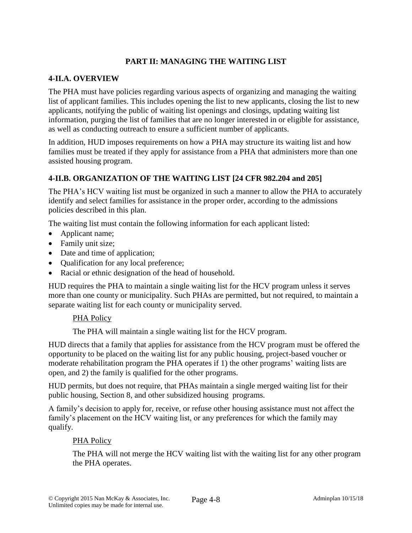# **PART II: MANAGING THE WAITING LIST**

### **4-II.A. OVERVIEW**

The PHA must have policies regarding various aspects of organizing and managing the waiting list of applicant families. This includes opening the list to new applicants, closing the list to new applicants, notifying the public of waiting list openings and closings, updating waiting list information, purging the list of families that are no longer interested in or eligible for assistance, as well as conducting outreach to ensure a sufficient number of applicants.

In addition, HUD imposes requirements on how a PHA may structure its waiting list and how families must be treated if they apply for assistance from a PHA that administers more than one assisted housing program.

## **4-II.B. ORGANIZATION OF THE WAITING LIST [24 CFR 982.204 and 205]**

The PHA's HCV waiting list must be organized in such a manner to allow the PHA to accurately identify and select families for assistance in the proper order, according to the admissions policies described in this plan.

The waiting list must contain the following information for each applicant listed:

- Applicant name;
- Family unit size;
- Date and time of application;
- Qualification for any local preference;
- Racial or ethnic designation of the head of household.

HUD requires the PHA to maintain a single waiting list for the HCV program unless it serves more than one county or municipality. Such PHAs are permitted, but not required, to maintain a separate waiting list for each county or municipality served.

#### PHA Policy

The PHA will maintain a single waiting list for the HCV program.

HUD directs that a family that applies for assistance from the HCV program must be offered the opportunity to be placed on the waiting list for any public housing, project-based voucher or moderate rehabilitation program the PHA operates if 1) the other programs' waiting lists are open, and 2) the family is qualified for the other programs.

HUD permits, but does not require, that PHAs maintain a single merged waiting list for their public housing, Section 8, and other subsidized housing programs.

A family's decision to apply for, receive, or refuse other housing assistance must not affect the family's placement on the HCV waiting list, or any preferences for which the family may qualify.

#### PHA Policy

The PHA will not merge the HCV waiting list with the waiting list for any other program the PHA operates.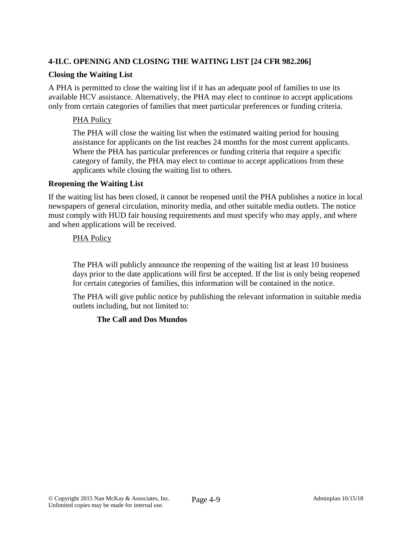# **4-II.C. OPENING AND CLOSING THE WAITING LIST [24 CFR 982.206]**

### **Closing the Waiting List**

A PHA is permitted to close the waiting list if it has an adequate pool of families to use its available HCV assistance. Alternatively, the PHA may elect to continue to accept applications only from certain categories of families that meet particular preferences or funding criteria.

### PHA Policy

The PHA will close the waiting list when the estimated waiting period for housing assistance for applicants on the list reaches 24 months for the most current applicants. Where the PHA has particular preferences or funding criteria that require a specific category of family, the PHA may elect to continue to accept applications from these applicants while closing the waiting list to others.

#### **Reopening the Waiting List**

If the waiting list has been closed, it cannot be reopened until the PHA publishes a notice in local newspapers of general circulation, minority media, and other suitable media outlets. The notice must comply with HUD fair housing requirements and must specify who may apply, and where and when applications will be received.

### PHA Policy

The PHA will publicly announce the reopening of the waiting list at least 10 business days prior to the date applications will first be accepted. If the list is only being reopened for certain categories of families, this information will be contained in the notice.

The PHA will give public notice by publishing the relevant information in suitable media outlets including, but not limited to:

## **The Call and Dos Mundos**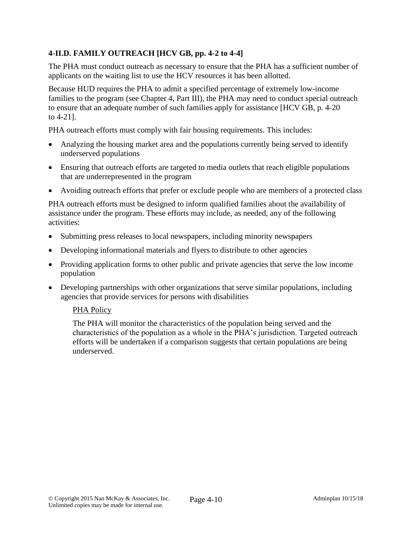# **4-II.D. FAMILY OUTREACH [HCV GB, pp. 4-2 to 4-4]**

The PHA must conduct outreach as necessary to ensure that the PHA has a sufficient number of applicants on the waiting list to use the HCV resources it has been allotted.

Because HUD requires the PHA to admit a specified percentage of extremely low-income families to the program (see Chapter 4, Part III), the PHA may need to conduct special outreach to ensure that an adequate number of such families apply for assistance [HCV GB, p. 4-20 to 4-21].

PHA outreach efforts must comply with fair housing requirements. This includes:

- Analyzing the housing market area and the populations currently being served to identify underserved populations
- Ensuring that outreach efforts are targeted to media outlets that reach eligible populations that are underrepresented in the program
- Avoiding outreach efforts that prefer or exclude people who are members of a protected class

PHA outreach efforts must be designed to inform qualified families about the availability of assistance under the program. These efforts may include, as needed, any of the following activities:

- Submitting press releases to local newspapers, including minority newspapers
- Developing informational materials and flyers to distribute to other agencies
- Providing application forms to other public and private agencies that serve the low income population
- Developing partnerships with other organizations that serve similar populations, including agencies that provide services for persons with disabilities

#### PHA Policy

The PHA will monitor the characteristics of the population being served and the characteristics of the population as a whole in the PHA's jurisdiction. Targeted outreach efforts will be undertaken if a comparison suggests that certain populations are being underserved.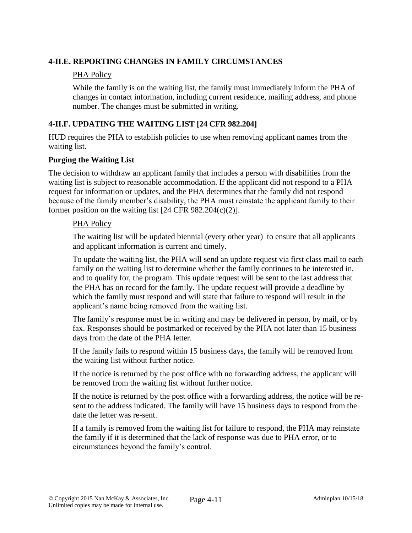## **4-II.E. REPORTING CHANGES IN FAMILY CIRCUMSTANCES**

### PHA Policy

While the family is on the waiting list, the family must immediately inform the PHA of changes in contact information, including current residence, mailing address, and phone number. The changes must be submitted in writing.

# **4-II.F. UPDATING THE WAITING LIST [24 CFR 982.204]**

HUD requires the PHA to establish policies to use when removing applicant names from the waiting list.

### **Purging the Waiting List**

The decision to withdraw an applicant family that includes a person with disabilities from the waiting list is subject to reasonable accommodation. If the applicant did not respond to a PHA request for information or updates, and the PHA determines that the family did not respond because of the family member's disability, the PHA must reinstate the applicant family to their former position on the waiting list [24 CFR 982.204(c)(2)].

#### PHA Policy

The waiting list will be updated biennial (every other year) to ensure that all applicants and applicant information is current and timely.

To update the waiting list, the PHA will send an update request via first class mail to each family on the waiting list to determine whether the family continues to be interested in, and to qualify for, the program. This update request will be sent to the last address that the PHA has on record for the family. The update request will provide a deadline by which the family must respond and will state that failure to respond will result in the applicant's name being removed from the waiting list.

The family's response must be in writing and may be delivered in person, by mail, or by fax. Responses should be postmarked or received by the PHA not later than 15 business days from the date of the PHA letter.

If the family fails to respond within 15 business days, the family will be removed from the waiting list without further notice.

If the notice is returned by the post office with no forwarding address, the applicant will be removed from the waiting list without further notice.

If the notice is returned by the post office with a forwarding address, the notice will be resent to the address indicated. The family will have 15 business days to respond from the date the letter was re-sent.

If a family is removed from the waiting list for failure to respond, the PHA may reinstate the family if it is determined that the lack of response was due to PHA error, or to circumstances beyond the family's control.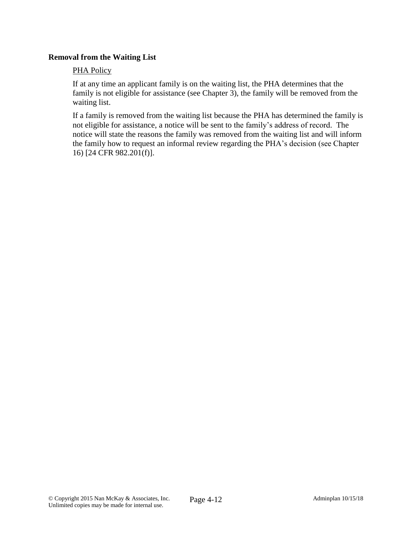### **Removal from the Waiting List**

#### PHA Policy

If at any time an applicant family is on the waiting list, the PHA determines that the family is not eligible for assistance (see Chapter 3), the family will be removed from the waiting list.

If a family is removed from the waiting list because the PHA has determined the family is not eligible for assistance, a notice will be sent to the family's address of record. The notice will state the reasons the family was removed from the waiting list and will inform the family how to request an informal review regarding the PHA's decision (see Chapter 16) [24 CFR 982.201(f)].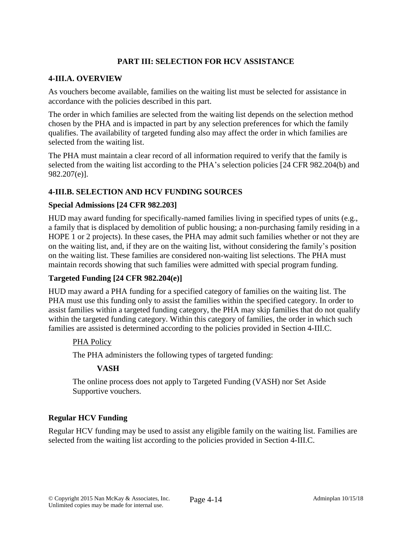# **PART III: SELECTION FOR HCV ASSISTANCE**

### **4-III.A. OVERVIEW**

As vouchers become available, families on the waiting list must be selected for assistance in accordance with the policies described in this part.

The order in which families are selected from the waiting list depends on the selection method chosen by the PHA and is impacted in part by any selection preferences for which the family qualifies. The availability of targeted funding also may affect the order in which families are selected from the waiting list.

The PHA must maintain a clear record of all information required to verify that the family is selected from the waiting list according to the PHA's selection policies [24 CFR 982.204(b) and 982.207(e)].

## **4-III.B. SELECTION AND HCV FUNDING SOURCES**

#### **Special Admissions [24 CFR 982.203]**

HUD may award funding for specifically-named families living in specified types of units (e.g., a family that is displaced by demolition of public housing; a non-purchasing family residing in a HOPE 1 or 2 projects). In these cases, the PHA may admit such families whether or not they are on the waiting list, and, if they are on the waiting list, without considering the family's position on the waiting list. These families are considered non-waiting list selections. The PHA must maintain records showing that such families were admitted with special program funding.

## **Targeted Funding [24 CFR 982.204(e)]**

HUD may award a PHA funding for a specified category of families on the waiting list. The PHA must use this funding only to assist the families within the specified category. In order to assist families within a targeted funding category, the PHA may skip families that do not qualify within the targeted funding category. Within this category of families, the order in which such families are assisted is determined according to the policies provided in Section 4-III.C.

#### PHA Policy

The PHA administers the following types of targeted funding:

## **VASH**

The online process does not apply to Targeted Funding (VASH) nor Set Aside Supportive vouchers.

## **Regular HCV Funding**

Regular HCV funding may be used to assist any eligible family on the waiting list. Families are selected from the waiting list according to the policies provided in Section 4-III.C.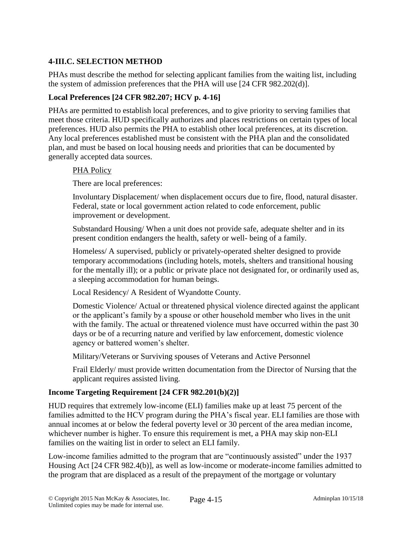# **4-III.C. SELECTION METHOD**

PHAs must describe the method for selecting applicant families from the waiting list, including the system of admission preferences that the PHA will use [24 CFR 982.202(d)].

### **Local Preferences [24 CFR 982.207; HCV p. 4-16]**

PHAs are permitted to establish local preferences, and to give priority to serving families that meet those criteria. HUD specifically authorizes and places restrictions on certain types of local preferences. HUD also permits the PHA to establish other local preferences, at its discretion. Any local preferences established must be consistent with the PHA plan and the consolidated plan, and must be based on local housing needs and priorities that can be documented by generally accepted data sources.

#### PHA Policy

There are local preferences:

Involuntary Displacement/ when displacement occurs due to fire, flood, natural disaster. Federal, state or local government action related to code enforcement, public improvement or development.

Substandard Housing/ When a unit does not provide safe, adequate shelter and in its present condition endangers the health, safety or well- being of a family.

Homeless/ A supervised, publicly or privately-operated shelter designed to provide temporary accommodations (including hotels, motels, shelters and transitional housing for the mentally ill); or a public or private place not designated for, or ordinarily used as, a sleeping accommodation for human beings.

Local Residency/ A Resident of Wyandotte County.

Domestic Violence/ Actual or threatened physical violence directed against the applicant or the applicant's family by a spouse or other household member who lives in the unit with the family. The actual or threatened violence must have occurred within the past 30 days or be of a recurring nature and verified by law enforcement, domestic violence agency or battered women's shelter.

Military/Veterans or Surviving spouses of Veterans and Active Personnel

Frail Elderly/ must provide written documentation from the Director of Nursing that the applicant requires assisted living.

## **Income Targeting Requirement [24 CFR 982.201(b)(2)]**

HUD requires that extremely low-income (ELI) families make up at least 75 percent of the families admitted to the HCV program during the PHA's fiscal year. ELI families are those with annual incomes at or below the federal poverty level or 30 percent of the area median income, whichever number is higher. To ensure this requirement is met, a PHA may skip non-ELI families on the waiting list in order to select an ELI family.

Low-income families admitted to the program that are "continuously assisted" under the 1937 Housing Act [24 CFR 982.4(b)], as well as low-income or moderate-income families admitted to the program that are displaced as a result of the prepayment of the mortgage or voluntary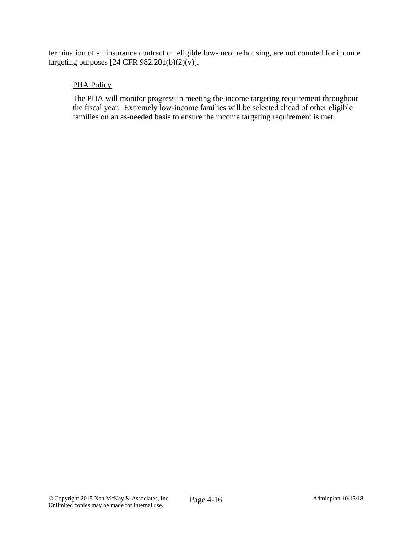termination of an insurance contract on eligible low-income housing, are not counted for income targeting purposes [24 CFR 982.201(b)(2)(v)].

## PHA Policy

The PHA will monitor progress in meeting the income targeting requirement throughout the fiscal year. Extremely low-income families will be selected ahead of other eligible families on an as-needed basis to ensure the income targeting requirement is met.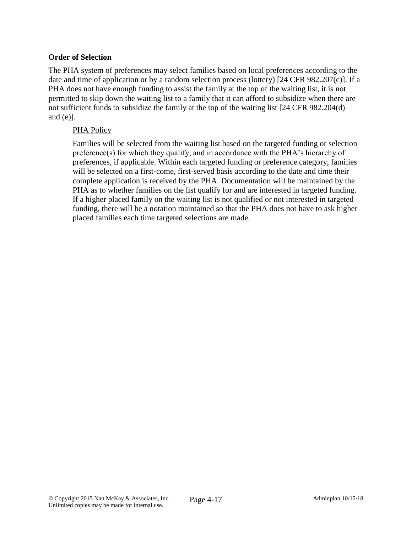### **Order of Selection**

The PHA system of preferences may select families based on local preferences according to the date and time of application or by a random selection process (lottery) [24 CFR 982.207(c)]. If a PHA does not have enough funding to assist the family at the top of the waiting list, it is not permitted to skip down the waiting list to a family that it can afford to subsidize when there are not sufficient funds to subsidize the family at the top of the waiting list [24 CFR 982.204(d) and (e)].

### PHA Policy

Families will be selected from the waiting list based on the targeted funding or selection preference(s) for which they qualify, and in accordance with the PHA's hierarchy of preferences, if applicable. Within each targeted funding or preference category, families will be selected on a first-come, first-served basis according to the date and time their complete application is received by the PHA. Documentation will be maintained by the PHA as to whether families on the list qualify for and are interested in targeted funding. If a higher placed family on the waiting list is not qualified or not interested in targeted funding, there will be a notation maintained so that the PHA does not have to ask higher placed families each time targeted selections are made.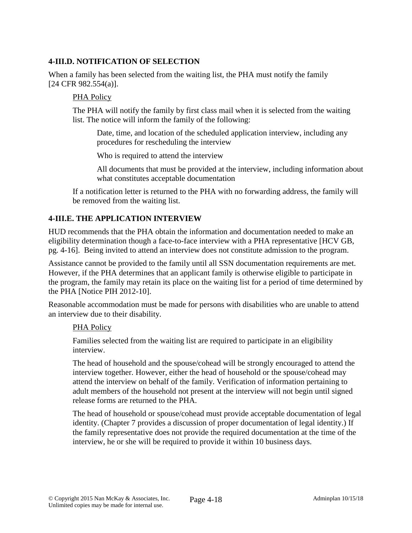## **4-III.D. NOTIFICATION OF SELECTION**

When a family has been selected from the waiting list, the PHA must notify the family [24 CFR 982.554(a)].

### PHA Policy

The PHA will notify the family by first class mail when it is selected from the waiting list. The notice will inform the family of the following:

Date, time, and location of the scheduled application interview, including any procedures for rescheduling the interview

Who is required to attend the interview

All documents that must be provided at the interview, including information about what constitutes acceptable documentation

If a notification letter is returned to the PHA with no forwarding address, the family will be removed from the waiting list.

# **4-III.E. THE APPLICATION INTERVIEW**

HUD recommends that the PHA obtain the information and documentation needed to make an eligibility determination though a face-to-face interview with a PHA representative [HCV GB, pg. 4-16]. Being invited to attend an interview does not constitute admission to the program.

Assistance cannot be provided to the family until all SSN documentation requirements are met. However, if the PHA determines that an applicant family is otherwise eligible to participate in the program, the family may retain its place on the waiting list for a period of time determined by the PHA [Notice PIH 2012-10].

Reasonable accommodation must be made for persons with disabilities who are unable to attend an interview due to their disability.

#### PHA Policy

Families selected from the waiting list are required to participate in an eligibility interview.

The head of household and the spouse/cohead will be strongly encouraged to attend the interview together. However, either the head of household or the spouse/cohead may attend the interview on behalf of the family. Verification of information pertaining to adult members of the household not present at the interview will not begin until signed release forms are returned to the PHA.

The head of household or spouse/cohead must provide acceptable documentation of legal identity. (Chapter 7 provides a discussion of proper documentation of legal identity.) If the family representative does not provide the required documentation at the time of the interview, he or she will be required to provide it within 10 business days.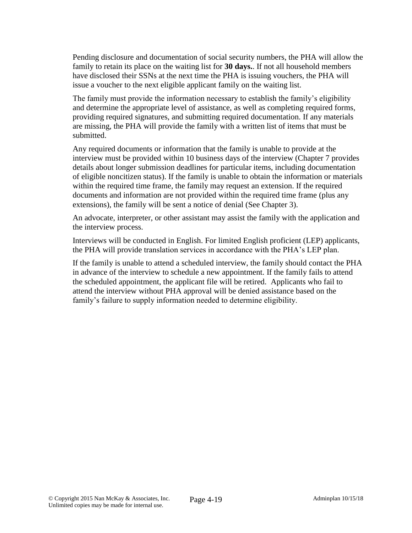Pending disclosure and documentation of social security numbers, the PHA will allow the family to retain its place on the waiting list for **30 days.**. If not all household members have disclosed their SSNs at the next time the PHA is issuing vouchers, the PHA will issue a voucher to the next eligible applicant family on the waiting list.

The family must provide the information necessary to establish the family's eligibility and determine the appropriate level of assistance, as well as completing required forms, providing required signatures, and submitting required documentation. If any materials are missing, the PHA will provide the family with a written list of items that must be submitted.

Any required documents or information that the family is unable to provide at the interview must be provided within 10 business days of the interview (Chapter 7 provides details about longer submission deadlines for particular items, including documentation of eligible noncitizen status). If the family is unable to obtain the information or materials within the required time frame, the family may request an extension. If the required documents and information are not provided within the required time frame (plus any extensions), the family will be sent a notice of denial (See Chapter 3).

An advocate, interpreter, or other assistant may assist the family with the application and the interview process.

Interviews will be conducted in English. For limited English proficient (LEP) applicants, the PHA will provide translation services in accordance with the PHA's LEP plan.

If the family is unable to attend a scheduled interview, the family should contact the PHA in advance of the interview to schedule a new appointment. If the family fails to attend the scheduled appointment, the applicant file will be retired. Applicants who fail to attend the interview without PHA approval will be denied assistance based on the family's failure to supply information needed to determine eligibility.